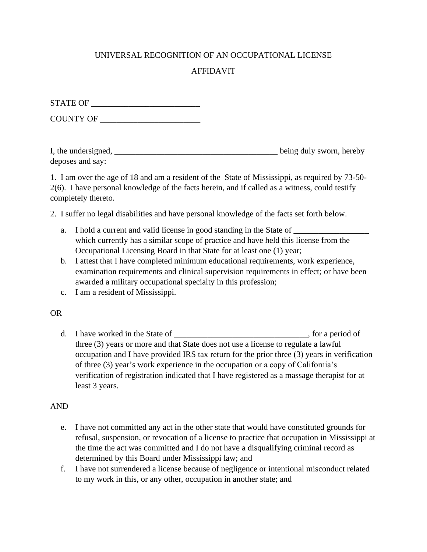## UNIVERSAL RECOGNITION OF AN OCCUPATIONAL LICENSE

# AFFIDAVIT

| <b>STATE OF</b> |  |
|-----------------|--|
|                 |  |

COUNTY OF \_\_\_\_\_\_\_\_\_\_\_\_\_\_\_\_\_\_\_\_\_\_\_\_

| I, the undersigned, | being duly sworn, hereby |
|---------------------|--------------------------|
| deposes and say:    |                          |

1. I am over the age of 18 and am a resident of the State of Mississippi, as required by 73-50- 2(6). I have personal knowledge of the facts herein, and if called as a witness, could testify completely thereto.

2. I suffer no legal disabilities and have personal knowledge of the facts set forth below.

- a. I hold a current and valid license in good standing in the State of which currently has a similar scope of practice and have held this license from the Occupational Licensing Board in that State for at least one (1) year;
- b. I attest that I have completed minimum educational requirements, work experience, examination requirements and clinical supervision requirements in effect; or have been awarded a military occupational specialty in this profession;
- c. I am a resident of Mississippi.

### OR

d. I have worked in the State of  $\qquad \qquad$ , for a period of three (3) years or more and that State does not use a license to regulate a lawful occupation and I have provided IRS tax return for the prior three (3) years in verification of three (3) year's work experience in the occupation or a copy of California's verification of registration indicated that I have registered as a massage therapist for at least 3 years.

### AND

- e. I have not committed any act in the other state that would have constituted grounds for refusal, suspension, or revocation of a license to practice that occupation in Mississippi at the time the act was committed and I do not have a disqualifying criminal record as determined by this Board under Mississippi law; and
- f. I have not surrendered a license because of negligence or intentional misconduct related to my work in this, or any other, occupation in another state; and